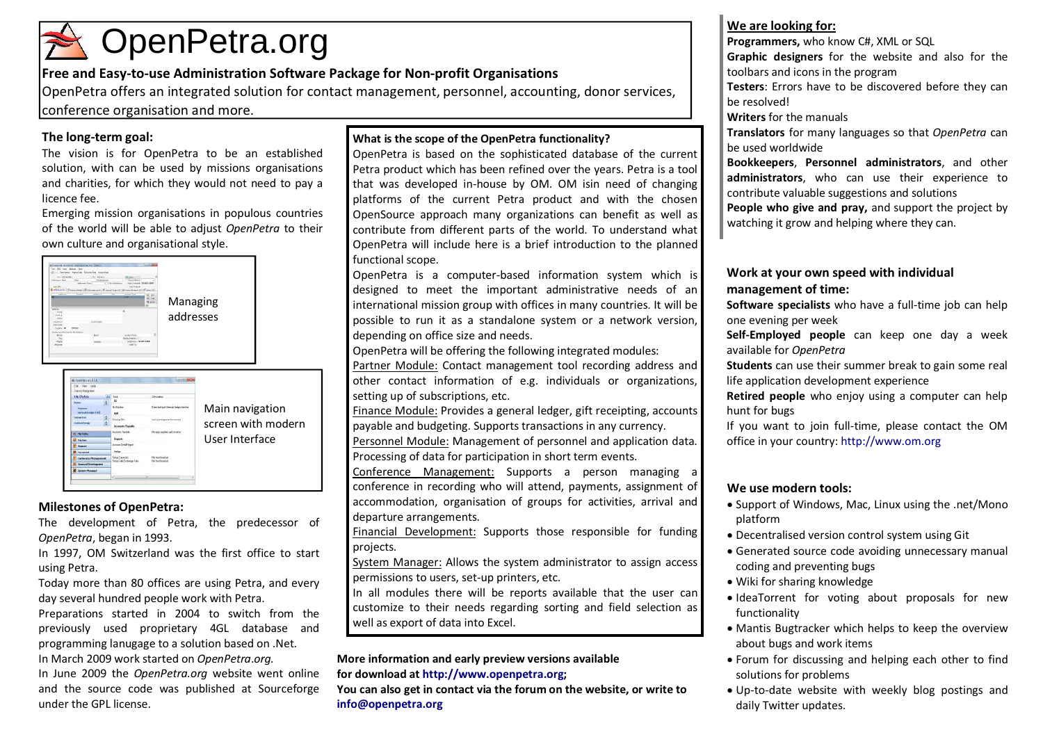## OpenPetra.org

#### Free and Easy-to-use Administration Software Package for Non-profit Organisations

OpenPetra offers an integrated solution for contact management, personnel, accounting, donor services, conference organisation and more.

#### The long-term goal:

The vision is for OpenPetra to be an established solution, with can be used by missions organisations and charities, for which they would not need to pay a licence fee.

Emerging mission organisations in populous countries of the world will be able to adjust OpenPetra to their own culture and organisational style.





#### Milestones of OpenPetra:

The development of Petra, the predecessor of OpenPetra, began in 1993.

In 1997, OM Switzerland was the first office to start using Petra.

Today more than 80 offices are using Petra, and every day several hundred people work with Petra.

Preparations started in 2004 to switch from the previously used proprietary 4GL database and programming lanugage to a solution based on .Net. In March 2009 work started on OpenPetra.org.

In June 2009 the OpenPetra.org website went online and the source code was published at Sourceforge under the GPL license.

#### What is the scope of the OpenPetra functionality?

 OpenPetra is based on the sophisticated database of the current Petra product which has been refined over the years. Petra is a tool that was developed in-house by OM. OM isin need of changing platforms of the current Petra product and with the chosen OpenSource approach many organizations can benefit as well as contribute from different parts of the world. To understand what OpenPetra will include here is a brief introduction to the planned functional scope.

OpenPetra is a computer-based information system which is designed to meet the important administrative needs of an international mission group with offices in many countries. It will be possible to run it as a standalone system or a network version, depending on office size and needs.

OpenPetra will be offering the following integrated modules:

Partner Module: Contact management tool recording address and other contact information of e.g. individuals or organizations, setting up of subscriptions, etc.

Finance Module: Provides a general ledger, gift receipting, accounts payable and budgeting. Supports transactions in any currency.

Personnel Module: Management of personnel and application data. Processing of data for participation in short term events.

Conference Management: Supports a person managing a conference in recording who will attend, payments, assignment of accommodation, organisation of groups for activities, arrival and departure arrangements.

Financial Development: Supports those responsible for funding projects.

System Manager: Allows the system administrator to assign access permissions to users, set-up printers, etc.

In all modules there will be reports available that the user can customize to their needs regarding sorting and field selection as well as export of data into Excel.

More information and early preview versions available

for download at http://www.openpetra.org;

You can also get in contact via the forum on the website, or write to info@openpetra.org

#### We are looking for:

Programmers, who know C#, XML or SQL

Graphic designers for the website and also for the toolbars and icons in the program

Testers: Errors have to be discovered before they can be resolved!

Writers for the manuals

Translators for many languages so that OpenPetra can be used worldwide

Bookkeepers, Personnel administrators, and other administrators, who can use their experience to contribute valuable suggestions and solutions

People who give and pray, and support the project by watching it grow and helping where they can.

#### Work at your own speed with individual management of time:

Software specialists who have a full-time job can help one evening per week

Self-Employed people can keep one day a week available for OpenPetra

**Students** can use their summer break to gain some real life application development experience

Retired people who enjoy using a computer can help hunt for bugs

If you want to join full-time, please contact the OM office in your country: http://www.om.org

#### We use modern tools:

- Support of Windows, Mac, Linux using the .net/Mono platform
- Decentralised version control system using Git
- Generated source code avoiding unnecessary manual coding and preventing bugs
- Wiki for sharing knowledge
- IdeaTorrent for voting about proposals for new functionality
- Mantis Bugtracker which helps to keep the overview about bugs and work items
- Forum for discussing and helping each other to find solutions for problems
- Up-to-date website with weekly blog postings and daily Twitter updates.